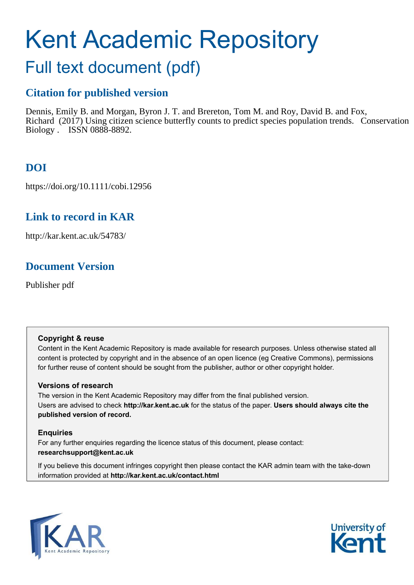# Kent Academic Repository

# Full text document (pdf)

## **Citation for published version**

Dennis, Emily B. and Morgan, Byron J. T. and Brereton, Tom M. and Roy, David B. and Fox, Richard (2017) Using citizen science butterfly counts to predict species population trends. Conservation Biology . ISSN 0888-8892.

# **DOI**

https://doi.org/10.1111/cobi.12956

## **Link to record in KAR**

http://kar.kent.ac.uk/54783/

## **Document Version**

Publisher pdf

#### **Copyright & reuse**

Content in the Kent Academic Repository is made available for research purposes. Unless otherwise stated all content is protected by copyright and in the absence of an open licence (eg Creative Commons), permissions for further reuse of content should be sought from the publisher, author or other copyright holder.

#### **Versions of research**

The version in the Kent Academic Repository may differ from the final published version. Users are advised to check **http://kar.kent.ac.uk** for the status of the paper. **Users should always cite the published version of record.**

#### **Enquiries**

For any further enquiries regarding the licence status of this document, please contact: **researchsupport@kent.ac.uk**

If you believe this document infringes copyright then please contact the KAR admin team with the take-down information provided at **http://kar.kent.ac.uk/contact.html**



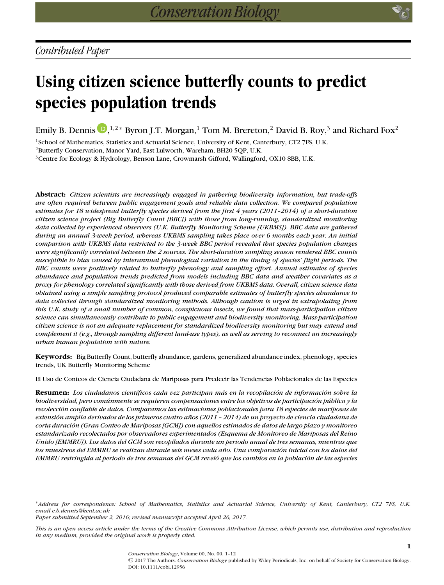# **Using citizen science butterfly counts to predict species population trends**

Emily B. Dennis  $\bigcup_{n=1}^{\infty} A^{1,2}$  $\bigcup_{n=1}^{\infty} A^{1,2}$  $\bigcup_{n=1}^{\infty} A^{1,2}$  \* Byron J.T. Morgan, Tom M. Brereton, 2 David B. Roy, 3 and Richard Fox<sup>2</sup>

<sup>1</sup>School of Mathematics, Statistics and Actuarial Science, University of Kent, Canterbury, CT2 7FS, U.K. <sup>2</sup>Butterfly Conservation, Manor Yard, East Lulworth, Wareham, BH20 5QP, U.K.

<sup>3</sup>Centre for Ecology & Hydrology, Benson Lane, Crowmarsh Gifford, Wallingford, OX10 8BB, U.K.

**Abstract:** *Citizen scientists are increasingly engaged in gathering biodiversity information, but trade-offs are often required between public engagement goals and reliable data collection. We compared population estimates for 18 widespread butterfly species derived from the first 4 years (2011–2014) of a short-duration citizen science project (Big Butterfly Count [BBC]) with those from long-running, standardized monitoring data collected by experienced observers (U.K. Butterfly Monitoring Scheme [UKBMS]). BBC data are gathered during an annual 3-week period, whereas UKBMS sampling takes place over 6 months each year. An initial comparison with UKBMS data restricted to the 3-week BBC period revealed that species population changes were significantly correlated between the 2 sources. The short-duration sampling season rendered BBC counts susceptible to bias caused by interannual phenological variation in the timing of species' flight periods. The BBC counts were positively related to butterfly phenology and sampling effort. Annual estimates of species abundance and population trends predicted from models including BBC data and weather covariates as a proxy for phenology correlated significantly with those derived from UKBMS data. Overall, citizen science data obtained using a simple sampling protocol produced comparable estimates of butterfly species abundance to data collected through standardized monitoring methods. Although caution is urged in extrapolating from this U.K. study of a small number of common, conspicuous insects, we found that mass-participation citizen science can simultaneously contribute to public engagement and biodiversity monitoring. Mass-participation citizen science is not an adequate replacement for standardized biodiversity monitoring but may extend and complement it (e.g., through sampling different land-use types), as well as serving to reconnect an increasingly urban human population with nature.*

**Keywords:** Big Butterfly Count, butterfly abundance, gardens, generalized abundance index, phenology, species trends, UK Butterfly Monitoring Scheme

El Uso de Conteos de Ciencia Ciudadana de Mariposas para Predecir las Tendencias Poblacionales de las Especies

**Resumen:** *Los ciudadanos cient´ıficos cada vez participan mas en la recopilaci ´ on de informaci ´ on sobre la ´ biodiversidad, pero comunmente se requieren compensaciones entre los objetivos de participaci ´ on p ´ ublica y la ´ recoleccion confiable de datos. Comparamos las estimaciones poblacionales para 18 especies de mariposas de ´ extension amplia derivados de los primeros cuatro a ´ nos (2011 – 2014) de un proyecto de ciencia ciudadana de ˜ corta duracion (Gran Conteo de Mariposas [GCM]) con aquellos estimados de datos de largo plazo y monitoreo ´ estandarizado recolectados por observadores experimentados (Esquema de Monitoreo de Mariposas del Reino Unido [EMMRU]). Los datos del GCM son recopilados durante un periodo anual de tres semanas, mientras que los muestreos del EMMRU se realizan durante seis meses cada ano. Una comparaci ˜ on inicial con los datos del ´ EMMRU restringida al periodo de tres semanas del GCM revelo que los cambios en la poblaci ´ on de las especies ´*

<sup>∗</sup>*Address for correspondence: School of Mathematics, Statistics and Actuarial Science, University of Kent, Canterbury, CT2 7FS, U.K. email e.b.dennis@kent.ac.uk*

*Paper submitted September 2, 2016; revised manuscript accepted April 26, 2017.*

*This is an open access article under the terms of the [Creative Commons Attribution](http://creativecommons.org/licenses/by/4.0/) License, which permits use, distribution and reproduction in any medium, provided the original work is properly cited.*

> *Conservation Biology*, Volume 00, No. 00, 1–12 C 2017 The Authors. *Conservation Biology* published by Wiley Periodicals, Inc. on behalf of Society for Conservation Biology. DOI: 10.1111/cobi.12956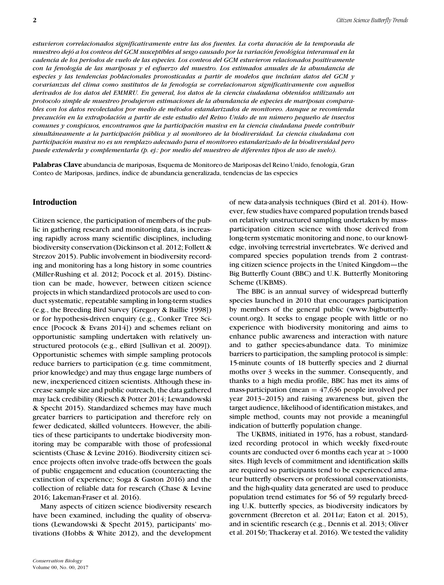*estuvieron correlacionados significativamente entre las dos fuentes. La corta duracion de la temporada de ´ muestreo dejo a los conteos del GCM susceptibles al sesgo causado por la variaci ´ on fenol ´ ogica interanual en la ´ cadencia de los periodos de vuelo de las especies. Los conteos del GCM estuvieron relacionados positivamente con la fenolog´ıa de las mariposas y el esfuerzo del muestro. Los estimados anuales de la abundancia de* especies y las tendencias poblacionales pronosticadas a partir de modelos que incluían datos del GCM y *covarianzas del clima como sustitutos de la fenolog´ıa se correlacionaron significativamente con aquellos derivados de los datos del EMMRU. En general, los datos de la ciencia ciudadana obtenidos utilizando un protocolo simple de muestreo produjeron estimaciones de la abundancia de especies de mariposas comparables con los datos recolectados por medio de m´etodos estandarizados de monitoreo. Aunque se recomienda precaucion en la extrapolaci ´ on a partir de este estudio del Reino Unido de un n ´ umero peque ´ no de insectos ˜ comunes y conspicuos, encontramos que la participacion masiva en la ciencia ciudadana puede contribuir ´ simultaneamente a la participaci ´ on p ´ ublica y al monitoreo de la biodiversidad. La ciencia ciudadana con ´ participacion masiva no es un remplazo adecuado para el monitoreo estandarizado de la biodiversidad pero ´ puede extenderla y complementarla (p. ej.: por medio del muestreo de diferentes tipos de uso de suelo).*

Palabras Clave abundancia de mariposas, Esquema de Monitoreo de Mariposas del Reino Unido, fenología, Gran Conteo de Mariposas, jardines, índice de abundancia generalizada, tendencias de las especies

#### **Introduction**

Citizen science, the participation of members of the public in gathering research and monitoring data, is increasing rapidly across many scientific disciplines, including biodiversity conservation (Dickinson et al. 2012; Follett & Strezov 2015). Public involvement in biodiversity recording and monitoring has a long history in some countries (Miller-Rushing et al. 2012; Pocock et al. 2015). Distinction can be made, however, between citizen science projects in which standardized protocols are used to conduct systematic, repeatable sampling in long-term studies (e.g., the Breeding Bird Survey [Gregory & Baillie 1998]) or for hypothesis-driven enquiry (e.g., Conker Tree Science [Pocock & Evans 2014]) and schemes reliant on opportunistic sampling undertaken with relatively unstructured protocols (e.g., eBird [Sullivan et al. 2009]). Opportunistic schemes with simple sampling protocols reduce barriers to participation (e.g. time commitment, prior knowledge) and may thus engage large numbers of new, inexperienced citizen scientists. Although these increase sample size and public outreach, the data gathered may lack credibility (Riesch & Potter 2014; Lewandowski & Specht 2015). Standardized schemes may have much greater barriers to participation and therefore rely on fewer dedicated, skilled volunteers. However, the abilities of these participants to undertake biodiversity monitoring may be comparable with those of professional scientists (Chase & Levine 2016). Biodiversity citizen science projects often involve trade-offs between the goals of public engagement and education (counteracting the extinction of experience; Soga & Gaston 2016) and the collection of reliable data for research (Chase & Levine 2016; Lakeman-Fraser et al. 2016).

Many aspects of citizen science biodiversity research have been examined, including the quality of observations (Lewandowski & Specht 2015), participants' motivations (Hobbs & White 2012), and the development

of new data-analysis techniques (Bird et al. 2014). However, few studies have compared population trends based on relatively unstructured sampling undertaken by massparticipation citizen science with those derived from long-term systematic monitoring and none, to our knowledge, involving terrestrial invertebrates. We derived and compared species population trends from 2 contrasting citizen science projects in the United Kingdom—the Big Butterfly Count (BBC) and U.K. Butterfly Monitoring Scheme (UKBMS).

The BBC is an annual survey of widespread butterfly species launched in 2010 that encourages participation by members of the general public [\(www.bigbutterfly](http://www.bigbutterflycount.org)[count.org\)](http://www.bigbutterflycount.org). It seeks to engage people with little or no experience with biodiversity monitoring and aims to enhance public awareness and interaction with nature and to gather species-abundance data. To minimize barriers to participation, the sampling protocol is simple: 15-minute counts of 18 butterfly species and 2 diurnal moths over 3 weeks in the summer. Consequently, and thanks to a high media profile, BBC has met its aims of mass-participation (mean  $=$  47,636 people involved per year 2013–2015) and raising awareness but, given the target audience, likelihood of identification mistakes, and simple method, counts may not provide a meaningful indication of butterfly population change.

The UKBMS, initiated in 1976, has a robust, standardized recording protocol in which weekly fixed-route counts are conducted over 6 months each year at >1000 sites. High levels of commitment and identification skills are required so participants tend to be experienced amateur butterfly observers or professional conservationists, and the high-quality data generated are used to produce population trend estimates for 56 of 59 regularly breeding U.K. butterfly species, as biodiversity indicators by government (Brereton et al. 2011*a*; Eaton et al. 2015), and in scientific research (e.g., Dennis et al. 2013; Oliver et al. 2015*b*; Thackeray et al. 2016). We tested the validity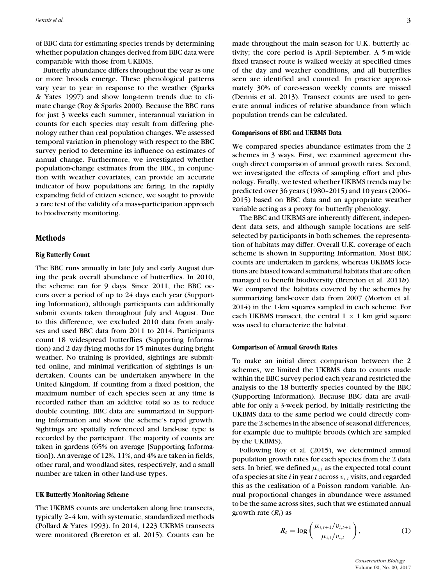of BBC data for estimating species trends by determining whether population changes derived from BBC data were comparable with those from UKBMS.

Butterfly abundance differs throughout the year as one or more broods emerge. These phenological patterns vary year to year in response to the weather (Sparks & Yates 1997) and show long-term trends due to climate change (Roy & Sparks 2000). Because the BBC runs for just 3 weeks each summer, interannual variation in counts for each species may result from differing phenology rather than real population changes. We assessed temporal variation in phenology with respect to the BBC survey period to determine its influence on estimates of annual change. Furthermore, we investigated whether population-change estimates from the BBC, in conjunction with weather covariates, can provide an accurate indicator of how populations are faring. In the rapidly expanding field of citizen science, we sought to provide a rare test of the validity of a mass-participation approach to biodiversity monitoring.

#### **Methods**

#### **Big Butterfly Count**

The BBC runs annually in late July and early August during the peak overall abundance of butterflies. In 2010, the scheme ran for 9 days. Since 2011, the BBC occurs over a period of up to 24 days each year (Supporting Information), although participants can additionally submit counts taken throughout July and August. Due to this difference, we excluded 2010 data from analyses and used BBC data from 2011 to 2014. Participants count 18 widespread butterflies (Supporting Information) and 2 day-flying moths for 15 minutes during bright weather. No training is provided, sightings are submitted online, and minimal verification of sightings is undertaken. Counts can be undertaken anywhere in the United Kingdom. If counting from a fixed position, the maximum number of each species seen at any time is recorded rather than an additive total so as to reduce double counting. BBC data are summarized in Supporting Information and show the scheme's rapid growth. Sightings are spatially referenced and land-use type is recorded by the participant. The majority of counts are taken in gardens (65% on average [Supporting Information]). An average of 12%, 11%, and 4% are taken in fields, other rural, and woodland sites, respectively, and a small number are taken in other land-use types.

#### **UK Butterfly Monitoring Scheme**

The UKBMS counts are undertaken along line transects, typically 2–4 km, with systematic, standardized methods (Pollard & Yates 1993). In 2014, 1223 UKBMS transects were monitored (Brereton et al. 2015). Counts can be made throughout the main season for U.K. butterfly activity; the core period is April–September. A 5-m-wide fixed transect route is walked weekly at specified times of the day and weather conditions, and all butterflies seen are identified and counted. In practice approximately 30% of core-season weekly counts are missed (Dennis et al. 2013). Transect counts are used to generate annual indices of relative abundance from which population trends can be calculated.

#### **Comparisons of BBC and UKBMS Data**

We compared species abundance estimates from the 2 schemes in 3 ways. First, we examined agreement through direct comparison of annual growth rates. Second, we investigated the effects of sampling effort and phenology. Finally, we tested whether UKBMS trends may be predicted over 36 years (1980–2015) and 10 years (2006– 2015) based on BBC data and an appropriate weather variable acting as a proxy for butterfly phenology.

The BBC and UKBMS are inherently different, independent data sets, and although sample locations are selfselected by participants in both schemes, the representation of habitats may differ. Overall U.K. coverage of each scheme is shown in Supporting Information. Most BBC counts are undertaken in gardens, whereas UKBMS locations are biased toward seminatural habitats that are often managed to benefit biodiversity (Brereton et al. 2011*b*). We compared the habitats covered by the schemes by summarizing land-cover data from 2007 (Morton et al. 2014) in the 1-km squares sampled in each scheme. For each UKBMS transect, the central  $1 \times 1$  km grid square was used to characterize the habitat.

#### **Comparison of Annual Growth Rates**

To make an initial direct comparison between the 2 schemes, we limited the UKBMS data to counts made within the BBC survey period each year and restricted the analysis to the 18 butterfly species counted by the BBC (Supporting Information). Because BBC data are available for only a 3-week period, by initially restricting the UKBMS data to the same period we could directly compare the 2 schemes in the absence of seasonal differences, for example due to multiple broods (which are sampled by the UKBMS).

Following Roy et al. (2015), we determined annual population growth rates for each species from the 2 data sets. In brief, we defined  $\mu_{i,t}$  as the expected total count of a species at site *i* in year *t* across v*i*,*<sup>t</sup>* visits, and regarded this as the realisation of a Poisson random variable. Annual proportional changes in abundance were assumed to be the same across sites, such that we estimated annual growth rate (*Rt*) as

$$
R_{t} = \log \left( \frac{\mu_{i,t+1}/v_{i,t+1}}{\mu_{i,t}/v_{i,t}} \right), \tag{1}
$$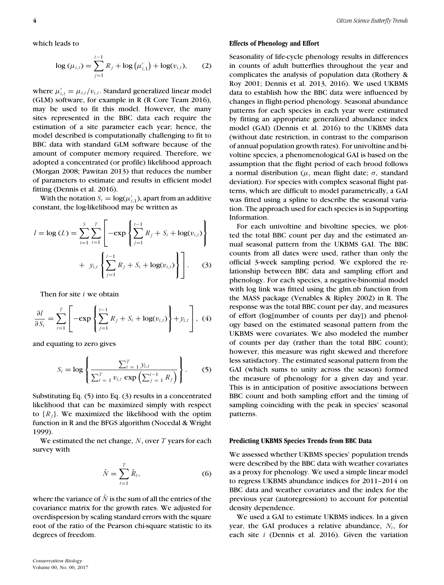which leads to

$$
\log (\mu_{i,t}) = \sum_{j=1}^{t-1} R_j + \log (\mu'_{i,1}) + \log(v_{i,t}), \qquad (2)
$$

where  $\mu'_{i,t} = \mu_{i,t}/v_{i,t}$ . Standard generalized linear model (GLM) software, for example in R (R Core Team 2016), may be used to fit this model. However, the many sites represented in the BBC data each require the estimation of a site parameter each year; hence, the model described is computationally challenging to fit to BBC data with standard GLM software because of the amount of computer memory required. Therefore, we adopted a concentrated (or profile) likelihood approach (Morgan 2008; Pawitan 2013) that reduces the number of parameters to estimate and results in efficient model fitting (Dennis et al. 2016).

With the notation  $S_i = \log(\mu'_{i,1})$ , apart from an additive constant, the log-likelihood may be written as

$$
l = \log(L) = \sum_{i=1}^{S} \sum_{t=1}^{T} \left[ -\exp\left\{ \sum_{j=1}^{t-1} R_j + S_i + \log(v_{i,t}) \right\} + y_{i,t} \left\{ \sum_{j=1}^{t-1} R_j + S_i + \log(v_{i,t}) \right\} \right].
$$
 (3)

Then for site *i* we obtain

$$
\frac{\partial l}{\partial S_i} = \sum_{t=1}^T \left[ -\exp\left\{ \sum_{j=1}^{t-1} R_j + S_i + \log(v_{i,t}) \right\} + y_{i,t} \right], \tag{4}
$$

and equating to zero gives

$$
S_i = \log \left\{ \frac{\sum_{t=1}^{T} y_{i,t}}{\sum_{t=1}^{T} v_{i,t} \exp \left( \sum_{j=1}^{t-1} R_j \right)} \right\}.
$$
 (5)

Substituting Eq. (5) into Eq. (3) results in a concentrated likelihood that can be maximized simply with respect to  $\{R_i\}$ . We maximized the likelihood with the optim function in R and the BFGS algorithm (Nocedal & Wright 1999).

We estimated the net change, *N*, over *T* years for each survey with

$$
\hat{N} = \sum_{t=1}^{T} \hat{R}_t,
$$
\n(6)

where the variance of  $\hat{N}$  is the sum of all the entries of the covariance matrix for the growth rates. We adjusted for overdispersion by scaling standard errors with the square root of the ratio of the Pearson chi-square statistic to its degrees of freedom.

#### **Effects of Phenology and Effort**

Seasonality of life-cycle phenology results in differences in counts of adult butterflies throughout the year and complicates the analysis of population data (Rothery & Roy 2001; Dennis et al. 2013, 2016). We used UKBMS data to establish how the BBC data were influenced by changes in flight-period phenology. Seasonal abundance patterns for each species in each year were estimated by fitting an appropriate generalized abundance index model (GAI) (Dennis et al. 2016) to the UKBMS data (without date restriction, in contrast to the comparison of annual population growth rates). For univoltine and bivoltine species, a phenomenological GAI is based on the assumption that the flight period of each brood follows a normal distribution ( $\mu$ , mean flight date; σ, standard deviation). For species with complex seasonal flight patterns, which are difficult to model parametrically, a GAI was fitted using a spline to describe the seasonal variation. The approach used for each species is in Supporting Information.

For each univoltine and bivoltine species, we plotted the total BBC count per day and the estimated annual seasonal pattern from the UKBMS GAI. The BBC counts from all dates were used, rather than only the official 3-week sampling period. We explored the relationship between BBC data and sampling effort and phenology. For each species, a negative-binomial model with log link was fitted using the glm.nb function from the MASS package (Venables & Ripley 2002) in R. The response was the total BBC count per day, and measures of effort (log[number of counts per day]) and phenology based on the estimated seasonal pattern from the UKBMS were covariates. We also modeled the number of counts per day (rather than the total BBC count); however, this measure was right skewed and therefore less satisfactory. The estimated seasonal pattern from the GAI (which sums to unity across the season) formed the measure of phenology for a given day and year. This is in anticipation of positive associations between BBC count and both sampling effort and the timing of sampling coinciding with the peak in species' seasonal patterns.

#### **Predicting UKBMS Species Trends from BBC Data**

We assessed whether UKBMS species' population trends were described by the BBC data with weather covariates as a proxy for phenology. We used a simple linear model to regress UKBMS abundance indices for 2011–2014 on BBC data and weather covariates and the index for the previous year (autoregression) to account for potential density dependence.

We used a GAI to estimate UKBMS indices. In a given year, the GAI produces a relative abundance,  $N_i$ , for each site *i* (Dennis et al. 2016). Given the variation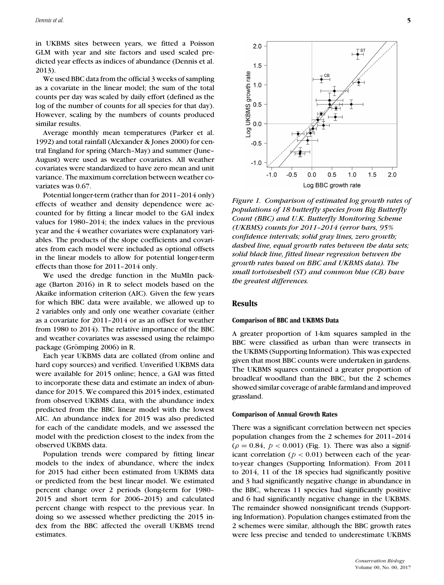in UKBMS sites between years, we fitted a Poisson GLM with year and site factors and used scaled predicted year effects as indices of abundance (Dennis et al. 2013).

We used BBC data from the official 3 weeks of sampling as a covariate in the linear model; the sum of the total counts per day was scaled by daily effort (defined as the log of the number of counts for all species for that day). However, scaling by the numbers of counts produced similar results.

Average monthly mean temperatures (Parker et al. 1992) and total rainfall (Alexander & Jones 2000) for central England for spring (March–May) and summer (June– August) were used as weather covariates. All weather covariates were standardized to have zero mean and unit variance. The maximum correlation between weather covariates was 0.67.

Potential longer-term (rather than for 2011–2014 only) effects of weather and density dependence were accounted for by fitting a linear model to the GAI index values for 1980–2014; the index values in the previous year and the 4 weather covariates were explanatory variables. The products of the slope coefficients and covariates from each model were included as optional offsets in the linear models to allow for potential longer-term effects than those for 2011–2014 only.

We used the dredge function in the MuMIn package (Barton 2016) in R to select models based on the Akaike information criterion (AIC). Given the few years for which BBC data were available, we allowed up to 2 variables only and only one weather covariate (either as a covariate for 2011–2014 or as an offset for weather from 1980 to 2014). The relative importance of the BBC and weather covariates was assessed using the relaimpo package (Grömping 2006) in R.

Each year UKBMS data are collated (from online and hard copy sources) and verified. Unverified UKBMS data were available for 2015 online; hence, a GAI was fitted to incorporate these data and estimate an index of abundance for 2015. We compared this 2015 index, estimated from observed UKBMS data, with the abundance index predicted from the BBC linear model with the lowest AIC. An abundance index for 2015 was also predicted for each of the candidate models, and we assessed the model with the prediction closest to the index from the observed UKBMS data.

Population trends were compared by fitting linear models to the index of abundance, where the index for 2015 had either been estimated from UKBMS data or predicted from the best linear model. We estimated percent change over 2 periods (long-term for 1980– 2015 and short term for 2006–2015) and calculated percent change with respect to the previous year. In doing so we assessed whether predicting the 2015 index from the BBC affected the overall UKBMS trend estimates.



*Figure 1. Comparison of estimated log growth rates of populations of 18 butterfly species from Big Butterfly Count (BBC) and U.K. Butterfly Monitoring Scheme (UKBMS) counts for 2011–2014 (error bars, 95% confidence intervals; solid gray lines, zero growth; dashed line, equal growth rates between the data sets; solid black line, fitted linear regression between the growth rates based on BBC and UKBMS data). The small tortoiseshell (ST) and common blue (CB) have the greatest differences.*

#### **Results**

#### **Comparison of BBC and UKBMS Data**

A greater proportion of 1-km squares sampled in the BBC were classified as urban than were transects in the UKBMS (Supporting Information). This was expected given that most BBC counts were undertaken in gardens. The UKBMS squares contained a greater proportion of broadleaf woodland than the BBC, but the 2 schemes showed similar coverage of arable farmland and improved grassland.

#### **Comparison of Annual Growth Rates**

There was a significant correlation between net species population changes from the 2 schemes for 2011–2014  $(\rho = 0.84, p < 0.001)$  (Fig. 1). There was also a significant correlation ( $p < 0.01$ ) between each of the yearto-year changes (Supporting Information). From 2011 to 2014, 11 of the 18 species had significantly positive and 3 had significantly negative change in abundance in the BBC, whereas 11 species had significantly positive and 6 had significantly negative change in the UKBMS. The remainder showed nonsignificant trends (Supporting Information). Population changes estimated from the 2 schemes were similar, although the BBC growth rates were less precise and tended to underestimate UKBMS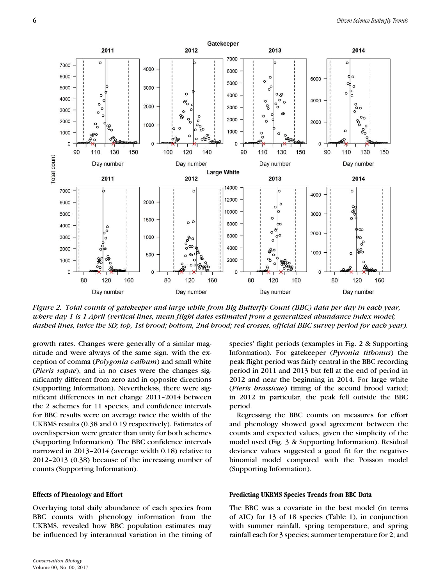

*Figure 2. Total counts of gatekeeper and large white from Big Butterfly Count (BBC) data per day in each year, where day 1 is 1 April (vertical lines, mean flight dates estimated from a generalized abundance index model; dashed lines, twice the SD; top, 1st brood; bottom, 2nd brood; red crosses, official BBC survey period for each year).*

growth rates. Changes were generally of a similar magnitude and were always of the same sign, with the exception of comma (*Polygonia c-album*) and small white (*Pieris rapae*), and in no cases were the changes significantly different from zero and in opposite directions (Supporting Information). Nevertheless, there were significant differences in net change 2011–2014 between the 2 schemes for 11 species, and confidence intervals for BBC results were on average twice the width of the UKBMS results (0.38 and 0.19 respectively). Estimates of overdispersion were greater than unity for both schemes (Supporting Information). The BBC confidence intervals narrowed in 2013–2014 (average width 0.18) relative to 2012–2013 (0.38) because of the increasing number of counts (Supporting Information).

#### **Effects of Phenology and Effort**

Overlaying total daily abundance of each species from BBC counts with phenology information from the UKBMS, revealed how BBC population estimates may be influenced by interannual variation in the timing of species' flight periods (examples in Fig. 2 & Supporting Information). For gatekeeper (*Pyronia tithonus*) the peak flight period was fairly central in the BBC recording period in 2011 and 2013 but fell at the end of period in 2012 and near the beginning in 2014. For large white (*Pieris brassicae*) timing of the second brood varied; in 2012 in particular, the peak fell outside the BBC period.

Regressing the BBC counts on measures for effort and phenology showed good agreement between the counts and expected values, given the simplicity of the model used (Fig. 3 & Supporting Information). Residual deviance values suggested a good fit for the negativebinomial model compared with the Poisson model (Supporting Information).

#### **Predicting UKBMS Species Trends from BBC Data**

The BBC was a covariate in the best model (in terms of AIC) for 13 of 18 species (Table 1), in conjunction with summer rainfall, spring temperature, and spring rainfall each for 3 species; summer temperature for 2; and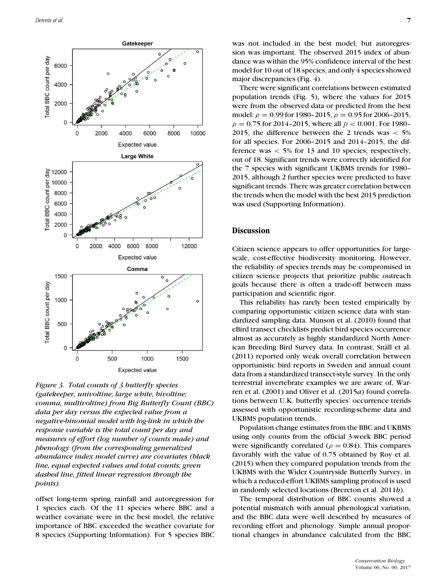

*Figure 3. Total counts of 3 butterfly species (gatekeeper, univoltine; large white, bivoltine; comma, multivoltine) from Big Butterfly Count (BBC) data per day versus the expected value from a negative-binomial model with log-link in which the response variable is the total count per day and measures of effort (log number of counts made) and phenology (from the corresponding generalized abundance index model curve) are covariates (black line, equal expected values and total counts; green dashed line, fitted linear regression through the points).*

offset long-term spring rainfall and autoregression for 1 species each. Of the 11 species where BBC and a weather covariate were in the best model, the relative importance of BBC exceeded the weather covariate for 8 species (Supporting Information). For 5 species BBC was not included in the best model, but autoregression was important. The observed 2015 index of abundance was within the 95% confidence interval of the best model for 10 out of 18 species, and only 4 species showed major discrepancies (Fig. 4).

There were significant correlations between estimated population trends (Fig. 5), where the values for 2015 were from the observed data or predicted from the best model:  $\rho = 0.99$  for 1980–2015,  $\rho = 0.95$  for 2006–2015,  $\rho = 0.75$  for 2014–2015, where all  $p < 0.001$ . For 1980– 2015, the difference between the 2 trends was  $<$  5% for all species. For 2006–2015 and 2014–2015, the difference was  $<$  5% for 13 and 10 species, respectively, out of 18. Significant trends were correctly identified for the 7 species with significant UKBMS trends for 1980– 2015, although 2 further species were predicted to have significant trends. There was greater correlation between the trends when the model with the best 2015 prediction was used (Supporting Information).

#### **Discussion**

Citizen science appears to offer opportunities for largescale, cost-effective biodiversity monitoring. However, the reliability of species trends may be compromised in citizen science projects that prioritize public outreach goals because there is often a trade-off between mass participation and scientific rigor.

This reliability has rarely been tested empirically by comparing opportunistic citizen science data with standardized sampling data. Munson et al. (2010) found that eBird transect checklists predict bird species occurrence almost as accurately as highly standardized North American Breeding Bird Survey data. In contrast, Snäll et al. (2011) reported only weak overall correlation between opportunistic bird reports in Sweden and annual count data from a standardized transect-style survey. In the only terrestrial invertebrate examples we are aware of, Warren et al. (2001) and Oliver et al. (2015*a*) found correlations between U.K. butterfly species' occurrence trends assessed with opportunistic recording-scheme data and UKBMS population trends.

Population change estimates from the BBC and UKBMS using only counts from the official 3-week BBC period were significantly correlated ( $\rho = 0.84$ ). This compares favorably with the value of 0.75 obtained by Roy et al. (2015) when they compared population trends from the UKBMS with the Wider Countryside Butterfly Survey, in which a reduced-effort UKBMS sampling protocol is used in randomly selected locations (Brereton et al. 2011*b*).

The temporal distribution of BBC counts showed a potential mismatch with annual phenological variation, and the BBC data were well described by measures of recording effort and phenology. Simple annual proportional changes in abundance calculated from the BBC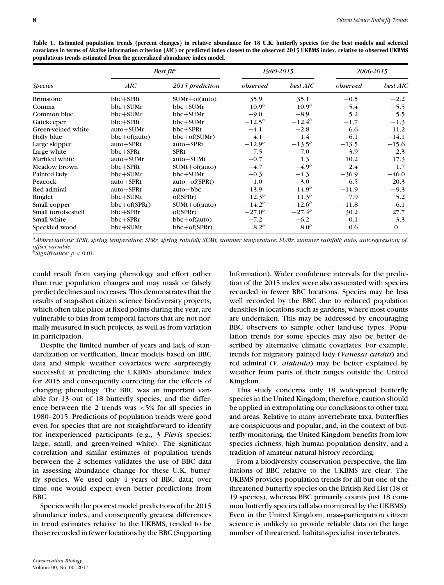| <b>Species</b>      | Best fit <sup>a</sup> |                 | 1980-2015   |                  | 2006-2015 |          |
|---------------------|-----------------------|-----------------|-------------|------------------|-----------|----------|
|                     | AIC                   | 2015 prediction | observed    | best AIC         | observed  | best AIC |
| <b>Brimstone</b>    | bbc+SPRt              | $SUMr+of(auto)$ | 35.9        | 35.1             | $-0.5$    | $-2.2$   |
| Comma               | bbc+SUMr              | $bbc+SUMr$      | $10.9^b$    | $10.9^{b}$       | $-5.4$    | $-5.5$   |
| Common blue         | bbc+SUMr              | bbc+SUMr        | $-9.0$      | $-8.9$           | 5.2       | 5.5      |
| Gatekeeper          | bbc+SPRt              | bbc+SUMr        | $-12.5^{b}$ | $-12.4^b$        | $-1.7$    | $-1.3$   |
| Green-veined white  | auto+SUMr             | bbc+SPRt        | $-4.1$      | $-2.8$           | 6.6       | 11.2     |
| Holly blue          | $bbc+of(auto)$        | $bbc+of(SUMr)$  | 4.1         | 1.4              | $-6.1$    | $-14.1$  |
| Large skipper       | $auto + SPRt$         | auto+SPRt       | $-12.9^{b}$ | $-13.5^{b}$      | $-13.5$   | $-15.6$  |
| Large white         | bbc+SPRr              | <b>SPRt</b>     | $-7.5$      | $-7.0$           | $-3.9$    | $-2.3$   |
| Marbled white       | auto+SUMr             | auto+SUMt       | $-0.7$      | 1.3              | 10.2      | 17.3     |
| Meadow brown        | bbc+SPRt              | $SUMt+of(auto)$ | $-4.7$      | $-4.9^{b}$       | 2.4       | 1.7      |
| Painted lady        | $bbc+SUMr$            | bbc+SUMt        | $-0.3$      | $-4.3$           | $-36.9$   | $-46.0$  |
| Peacock             | auto+SPRt             | $auto+of(SPRt)$ | $-1.0$      | 3.0              | 6.5       | 20.3     |
| Red admiral         | $auto + SPRt$         | $auto + bbc$    | 13.9        | $14.9^{b}$       | $-11.9$   | $-9.3$   |
| Ringlet             | bbc+SUMt              | $of$ (SPRr)     | $12.3^{b}$  | $11.3^{b}$       | 7.9       | 5.2      |
| Small copper        | $bbc+of(SPRr)$        | $SUMt+of(auto)$ | $-14.2^{b}$ | $-12.6^b$        | $-11.8$   | $-6.1$   |
| Small tortoiseshell | bbc+SPRr              | $of$ (SPRr)     | $-27.0^b$   | $-27.4^b$        | 30.2      | 27.7     |
| Small white         | bbc+SPRr              | $bbc+of(auto)$  | $-7.2$      | $-6.2$           | 0.1       | 3.3      |
| Speckled wood       | bbc+SUMt              | $bbc+of(SPRr)$  | $8.2^b$     | 8.0 <sup>b</sup> | 0.6       | $\bf{0}$ |

**Table 1. Estimated population trends (percent changes) in relative abundance for 18 U.K. butterfly species for the best models and selected covariates in terms of Akaike information criterion (AIC) or predicted index closest to the observed 2015 UKBMS index, relative to observed UKBMS populations trends estimated from the generalized abundance index model.**

*<sup>a</sup>Abbreviations: SPRt, spring temperature; SPRr, spring rainfall; SUMt, summer temperature; SUMr, summer rainfall; auto, autoregression; of, offset variable. b Significance: p* < 0.01*.*

could result from varying phenology and effort rather than true population changes and may mask or falsely predict declines and increases. This demonstrates that the results of snap-shot citizen science biodiversity projects, which often take place at fixed points during the year, are vulnerable to bias from temporal factors that are not normally measured in such projects, as well as from variation in participation.

Despite the limited number of years and lack of standardization or verification, linear models based on BBC data and simple weather covariates were surprisingly successful at predicting the UKBMS abundance index for 2015 and consequently correcting for the effects of changing phenology. The BBC was an important variable for 13 out of 18 butterfly species, and the difference between the 2 trends was <5% for all species in 1980–2015. Predictions of population trends were good even for species that are not straightforward to identify for inexperienced participants (e.g., 3 *Pieris* species: large, small, and green-veined white). The significant correlation and similar estimates of population trends between the 2 schemes validates the use of BBC data in assessing abundance change for these U.K. butterfly species. We used only 4 years of BBC data; over time one would expect even better predictions from BBC.

Species with the poorest model predictions of the 2015 abundance index, and consequently greatest differences in trend estimates relative to the UKBMS, tended to be those recorded in fewer locations by the BBC (Supporting Information). Wider confidence intervals for the prediction of the 2015 index were also associated with species recorded in fewer BBC locations. Species may be less well recorded by the BBC due to reduced population densities in locations such as gardens, where most counts are undertaken. This may be addressed by encouraging BBC observers to sample other land-use types. Population trends for some species may also be better described by alternative climatic covariates. For example, trends for migratory painted lady (*Vanessa cardui*) and red admiral (*V. atalanta*) may be better explained by weather from parts of their ranges outside the United Kingdom.

This study concerns only 18 widespread butterfly species in the United Kingdom; therefore, caution should be applied in extrapolating our conclusions to other taxa and areas. Relative to many invertebrate taxa, butterflies are conspicuous and popular, and, in the context of butterfly monitoring, the United Kingdom benefits from low species richness, high human population density, and a tradition of amateur natural history recording.

From a biodiversity conservation perspective, the limitations of BBC relative to the UKBMS are clear. The UKBMS provides population trends for all but one of the threatened butterfly species on the British Red List (18 of 19 species), whereas BBC primarily counts just 18 common butterfly species (all also monitored by the UKBMS). Even in the United Kingdom, mass-participation citizen science is unlikely to provide reliable data on the large number of threatened, habitat-specialist invertebrates.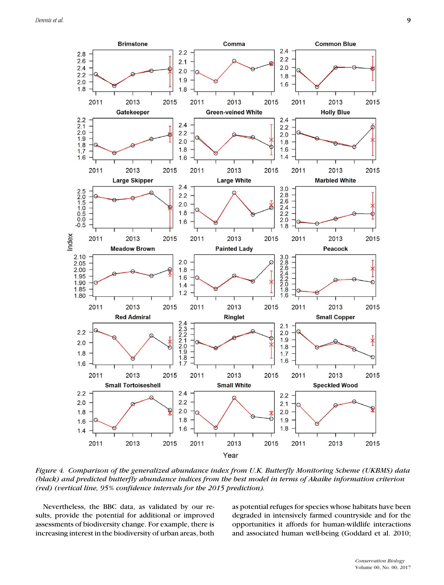

*Figure 4. Comparison of the generalized abundance index from U.K. Butterfly Monitoring Scheme (UKBMS) data (black) and predicted butterfly abundance indices from the best model in terms of Akaike information criterion (red) (vertical line, 95% confidence intervals for the 2015 prediction).*

Nevertheless, the BBC data, as validated by our results, provide the potential for additional or improved assessments of biodiversity change. For example, there is increasing interest in the biodiversity of urban areas, both as potential refuges for species whose habitats have been degraded in intensively farmed countryside and for the opportunities it affords for human-wildlife interactions and associated human well-being (Goddard et al. 2010;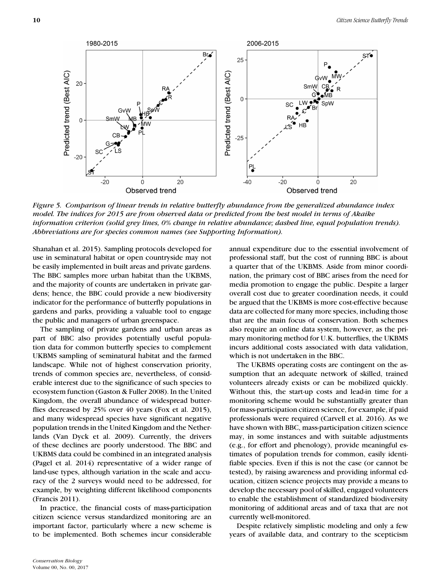

*Figure 5. Comparison of linear trends in relative butterfly abundance from the generalized abundance index model. The indices for 2015 are from observed data or predicted from the best model in terms of Akaike information criterion (solid grey lines, 0% change in relative abundance; dashed line, equal population trends). Abbreviations are for species common names (see Supporting Information).*

Shanahan et al. 2015). Sampling protocols developed for use in seminatural habitat or open countryside may not be easily implemented in built areas and private gardens. The BBC samples more urban habitat than the UKBMS, and the majority of counts are undertaken in private gardens; hence, the BBC could provide a new biodiversity indicator for the performance of butterfly populations in gardens and parks, providing a valuable tool to engage the public and managers of urban greenspace.

The sampling of private gardens and urban areas as part of BBC also provides potentially useful population data for common butterfly species to complement UKBMS sampling of seminatural habitat and the farmed landscape. While not of highest conservation priority, trends of common species are, nevertheless, of considerable interest due to the significance of such species to ecosystem function (Gaston & Fuller 2008). In the United Kingdom, the overall abundance of widespread butterflies decreased by 25% over 40 years (Fox et al. 2015), and many widespread species have significant negative population trends in the United Kingdom and the Netherlands (Van Dyck et al. 2009). Currently, the drivers of these declines are poorly understood. The BBC and UKBMS data could be combined in an integrated analysis (Pagel et al. 2014) representative of a wider range of land-use types, although variation in the scale and accuracy of the 2 surveys would need to be addressed, for example, by weighting different likelihood components (Francis 2011).

In practice, the financial costs of mass-participation citizen science versus standardized monitoring are an important factor, particularly where a new scheme is to be implemented. Both schemes incur considerable annual expenditure due to the essential involvement of professional staff, but the cost of running BBC is about a quarter that of the UKBMS. Aside from minor coordination, the primary cost of BBC arises from the need for media promotion to engage the public. Despite a larger overall cost due to greater coordination needs, it could be argued that the UKBMS is more cost-effective because data are collected for many more species, including those that are the main focus of conservation. Both schemes also require an online data system, however, as the primary monitoring method for U.K. butterflies, the UKBMS incurs additional costs associated with data validation, which is not undertaken in the BBC.

The UKBMS operating costs are contingent on the assumption that an adequate network of skilled, trained volunteers already exists or can be mobilized quickly. Without this, the start-up costs and lead-in time for a monitoring scheme would be substantially greater than for mass-participation citizen science, for example, if paid professionals were required (Carvell et al. 2016). As we have shown with BBC, mass-participation citizen science may, in some instances and with suitable adjustments (e.g., for effort and phenology), provide meaningful estimates of population trends for common, easily identifiable species. Even if this is not the case (or cannot be tested), by raising awareness and providing informal education, citizen science projects may provide a means to develop the necessary pool of skilled, engaged volunteers to enable the establishment of standardized biodiversity monitoring of additional areas and of taxa that are not currently well-monitored.

Despite relatively simplistic modeling and only a few years of available data, and contrary to the scepticism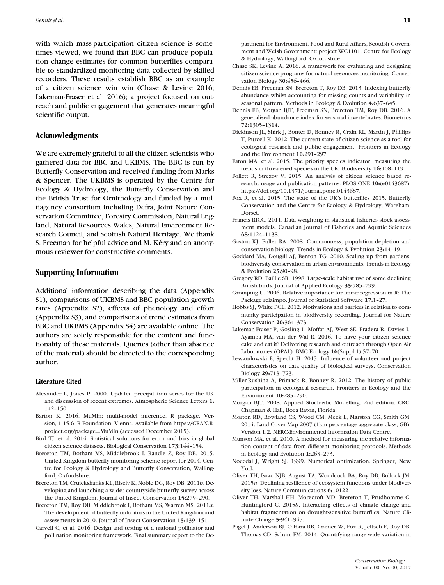with which mass-participation citizen science is sometimes viewed, we found that BBC can produce population change estimates for common butterflies comparable to standardized monitoring data collected by skilled recorders. These results establish BBC as an example of a citizen science win win (Chase & Levine 2016; Lakeman-Fraser et al. 2016); a project focused on outreach and public engagement that generates meaningful scientific output.

#### **Acknowledgments**

We are extremely grateful to all the citizen scientists who gathered data for BBC and UKBMS. The BBC is run by Butterfly Conservation and received funding from Marks & Spencer. The UKBMS is operated by the Centre for Ecology & Hydrology, the Butterfly Conservation and the British Trust for Ornithology and funded by a multiagency consortium including Defra, Joint Nature Conservation Committee, Forestry Commission, Natural England, Natural Resources Wales, Natural Environment Research Council, and Scottish Natural Heritage. We thank S. Freeman for helpful advice and M. Kéry and an anonymous reviewer for constructive comments.

#### **Supporting Information**

Additional information describing the data (Appendix S1), comparisons of UKBMS and BBC population growth rates (Appendix S2), effects of phenology and effort (Appendix S3), and comparisons of trend estimates from BBC and UKBMS (Appendix S4) are available online. The authors are solely responsible for the content and functionality of these materials. Queries (other than absence of the material) should be directed to the corresponding author.

#### **Literature Cited**

- Alexander L, Jones P. 2000. Updated precipitation series for the UK and discussion of recent extremes. Atmospheric Science Letters **1:** 142–150.
- Barton K. 2016. MuMIn: multi-model inference. R package. Version, 1.15.6. R Foundation, Vienna. Available from [https://CRAN.R](https://CRAN.R-project.org/package=MuMIn)[project.org/package](https://CRAN.R-project.org/package=MuMIn)=MuMIn (accessed December 2015).
- Bird TJ, et al. 2014. Statistical solutions for error and bias in global citizen science datasets. Biological Conservation **173:**144–154.
- Brereton TM, Botham MS, Middlebrook I, Randle Z, Roy DB. 2015. United Kingdom butterfly monitoring scheme report for 2014. Centre for Ecology & Hydrology and Butterfly Conservation, Wallingford, Oxfordshire.
- Brereton TM, Cruickshanks KL, Risely K, Noble DG, Roy DB. 2011*b*. Developing and launching a wider countryside butterfly survey across the United Kingdom. Journal of Insect Conservation **15:**279–290.
- Brereton TM, Roy DB, Middlebrook I, Botham MS, Warren MS. 2011*a*. The development of butterfly indicators in the United Kingdom and assessments in 2010. Journal of Insect Conservation **15:**139–151.
- Carvell C, et al. 2016. Design and testing of a national pollinator and pollination monitoring framework. Final summary report to the De-
- Chase SK, Levine A. 2016. A framework for evaluating and designing citizen science programs for natural resources monitoring. Conservation Biology **30:**456–466.
- Dennis EB, Freeman SN, Brereton T, Roy DB. 2013. Indexing butterfly abundance whilst accounting for missing counts and variability in seasonal pattern. Methods in Ecology & Evolution **4:**637–645.
- Dennis EB, Morgan BJT, Freeman SN, Brereton TM, Roy DB. 2016. A generalised abundance index for seasonal invertebrates. Biometrics **72:**1305–1314.
- Dickinson JL, Shirk J, Bonter D, Bonney R, Crain RL, Martin J, Phillips T, Purcell K. 2012. The current state of citizen science as a tool for ecological research and public engagement. Frontiers in Ecology and the Environment **10:**291–297.
- Eaton MA, et al. 2015. The priority species indicator: measuring the trends in threatened species in the UK. Biodiversity **16:**108–119.
- Follett R, Strezov V. 2015. An analysis of citizen science based research: usage and publication patterns. PLOS ONE **10:**(e0143687). [https://doi.org/10.1371/journal.pone.0143687.](https://doi.org/10.1371/journal.pone.0143687)
- Fox R, et al. 2015. The state of the UK's butterflies 2015. Butterfly Conservation and the Centre for Ecology & Hydrology, Wareham, **Dorset**.
- Francis RICC. 2011. Data weighting in statistical fisheries stock assessment models. Canadian Journal of Fisheries and Aquatic Sciences **68:**1124–1138.
- Gaston KJ, Fuller RA. 2008. Commonness, population depletion and conservation biology. Trends in Ecology & Evolution **23:**14–19.
- Goddard MA, Dougill AJ, Benton TG. 2010. Scaling up from gardens: biodiversity conservation in urban environments. Trends in Ecology & Evolution **25:**90–98.
- Gregory RD, Baillie SR. 1998. Large-scale habitat use of some declining British birds. Journal of Applied Ecology **35:**785–799.
- Grömping U. 2006. Relative importance for linear regression in R: The Package relaimpo. Journal of Statistical Software **17:**1–27.
- Hobbs SJ, White PCL. 2012. Motivations and barriers in relation to community participation in biodiversity recording. Journal for Nature Conservation **20:**364–373.
- Lakeman-Fraser P, Gosling L, Moffat AJ, West SE, Fradera R, Davies L, Ayamba MA, van der Wal R. 2016. To have your citizen science cake and eat it? Delivering research and outreach through Open Air Laboratories (OPAL). BMC Ecology **16**(Suppl 1):57–70.
- Lewandowski E, Specht H. 2015. Influence of volunteer and project characteristics on data quality of biological surveys. Conservation Biology **29:**713–723.
- Miller-Rushing A, Primack R, Bonney R. 2012. The history of public participation in ecological research. Frontiers in Ecology and the Environment **10:**285–290.
- Morgan BJT. 2008. Applied Stochastic Modelling. 2nd edition. CRC, Chapman & Hall, Boca Raton, Florida.
- Morton RD, Rowland CS, Wood CM, Meek L, Marston CG, Smith GM. 2014. Land Cover Map 2007 (1km percentage aggregate class, GB). Version 1.2. NERC-Environmental Information Data Centre.
- Munson MA, et al. 2010. A method for measuring the relative information content of data from different monitoring protocols. Methods in Ecology and Evolution **1:**263–273.
- Nocedal J, Wright SJ. 1999. Numerical optimization. Springer, New York.
- Oliver TH, Isaac NJB, August TA, Woodcock BA, Roy DB, Bullock JM. 2015*a*. Declining resilience of ecosystem functions under biodiversity loss. Nature Communications **6:**10122.
- Oliver TH, Marshall HH, Morecroft MD, Brereton T, Prudhomme C, Huntingford C. 2015*b*. Interacting effects of climate change and habitat fragmentation on drought-sensitive butterflies. Nature Climate Change **5:**941–945.
- Pagel J, Anderson BJ, O'Hara RB, Cramer W, Fox R, Jeltsch F, Roy DB, Thomas CD, Schurr FM. 2014. Quantifying range-wide variation in